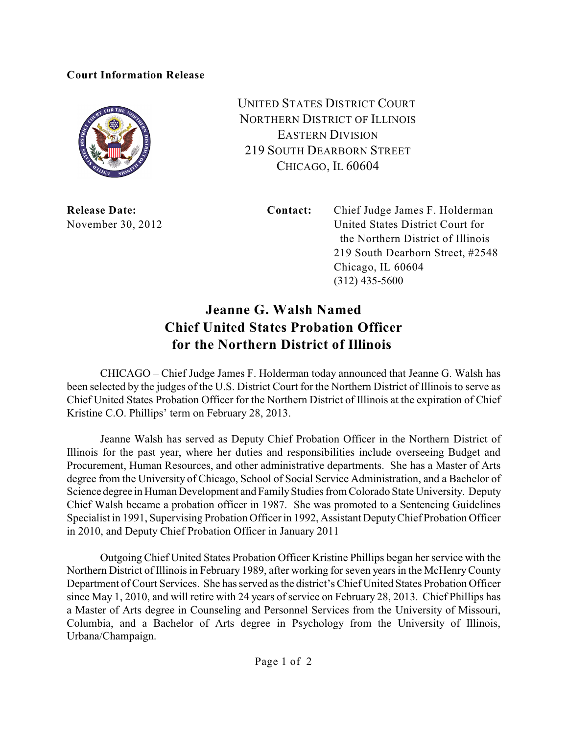## **Court Information Release**



UNITED STATES DISTRICT COURT NORTHERN DISTRICT OF ILLINOIS EASTERN DIVISION 219 SOUTH DEARBORN STREET CHICAGO, IL 60604

**Release Date: Contact:** Chief Judge James F. Holderman November 30, 2012 United States District Court for the Northern District of Illinois 219 South Dearborn Street, #2548 Chicago, IL 60604 (312) 435-5600

## **Jeanne G. Walsh Named Chief United States Probation Officer for the Northern District of Illinois**

CHICAGO – Chief Judge James F. Holderman today announced that Jeanne G. Walsh has been selected by the judges of the U.S. District Court for the Northern District of Illinois to serve as Chief United States Probation Officer for the Northern District of Illinois at the expiration of Chief Kristine C.O. Phillips' term on February 28, 2013.

Jeanne Walsh has served as Deputy Chief Probation Officer in the Northern District of Illinois for the past year, where her duties and responsibilities include overseeing Budget and Procurement, Human Resources, and other administrative departments. She has a Master of Arts degree from the University of Chicago, School of Social Service Administration, and a Bachelor of Science degree in Human Development and FamilyStudies from Colorado State University. Deputy Chief Walsh became a probation officer in 1987. She was promoted to a Sentencing Guidelines Specialist in 1991, Supervising Probation Officer in 1992, Assistant DeputyChief Probation Officer in 2010, and Deputy Chief Probation Officer in January 2011

Outgoing Chief United States Probation Officer Kristine Phillips began her service with the Northern District of Illinois in February 1989, after working for seven yearsin the McHenryCounty Department of Court Services. She has served as the district's Chief United States Probation Officer since May 1, 2010, and will retire with 24 years of service on February 28, 2013. Chief Phillips has a Master of Arts degree in Counseling and Personnel Services from the University of Missouri, Columbia, and a Bachelor of Arts degree in Psychology from the University of Illinois, Urbana/Champaign.